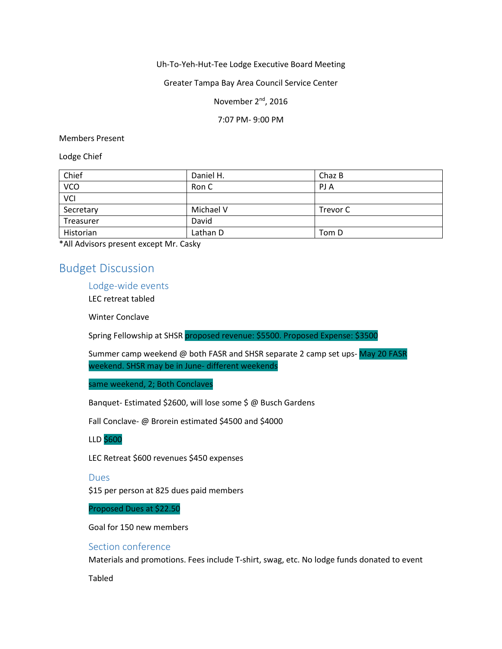Uh-To-Yeh-Hut-Tee Lodge Executive Board Meeting

Greater Tampa Bay Area Council Service Center

November 2<sup>nd</sup>, 2016

7:07 PM- 9:00 PM

Members Present

Lodge Chief

| Chief     | Daniel H. | Chaz B   |
|-----------|-----------|----------|
| VCO       | Ron C     | PJ A     |
| VCI       |           |          |
| Secretary | Michael V | Trevor C |
| Treasurer | David     |          |
| Historian | Lathan D  | Tom D    |

\*All Advisors present except Mr. Casky

# Budget Discussion

Lodge-wide events

LEC retreat tabled

Winter Conclave

Spring Fellowship at SHSR proposed revenue: \$5500. Proposed Expense: \$3500

Summer camp weekend @ both FASR and SHSR separate 2 camp set ups-May 20 FASR weekend. SHSR may be in June- different weekends

same weekend, 2; Both Conclaves

Banquet- Estimated \$2600, will lose some \$ @ Busch Gardens

Fall Conclave- @ Brorein estimated \$4500 and \$4000

LLD \$600

LEC Retreat \$600 revenues \$450 expenses

#### Dues

\$15 per person at 825 dues paid members

Proposed Dues at \$22.50

Goal for 150 new members

### Section conference

Materials and promotions. Fees include T-shirt, swag, etc. No lodge funds donated to event

Tabled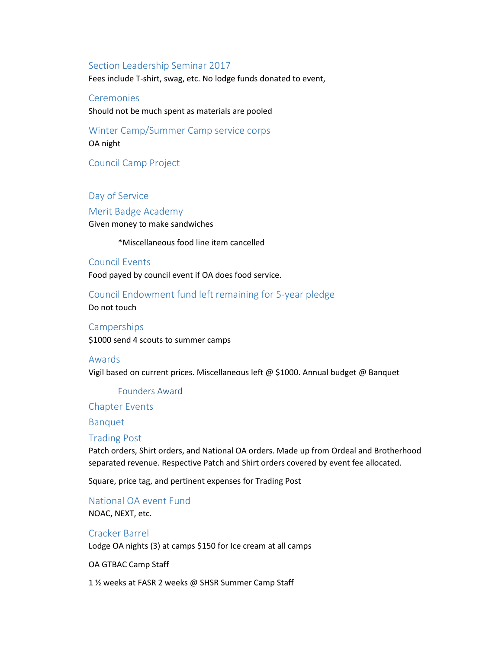#### Section Leadership Seminar 2017

Fees include T-shirt, swag, etc. No lodge funds donated to event,

**Ceremonies** Should not be much spent as materials are pooled

Winter Camp/Summer Camp service corps OA night

Council Camp Project

Day of Service

Merit Badge Academy Given money to make sandwiches

\*Miscellaneous food line item cancelled

## Council Events

Food payed by council event if OA does food service.

Council Endowment fund left remaining for 5-year pledge

Do not touch

# **Camperships** \$1000 send 4 scouts to summer camps

#### Awards

Vigil based on current prices. Miscellaneous left @ \$1000. Annual budget @ Banquet

Founders Award

Chapter Events

Banquet

#### Trading Post

Patch orders, Shirt orders, and National OA orders. Made up from Ordeal and Brotherhood separated revenue. Respective Patch and Shirt orders covered by event fee allocated.

Square, price tag, and pertinent expenses for Trading Post

National OA event Fund NOAC, NEXT, etc.

# Cracker Barrel Lodge OA nights (3) at camps \$150 for Ice cream at all camps

OA GTBAC Camp Staff

1 ½ weeks at FASR 2 weeks @ SHSR Summer Camp Staff